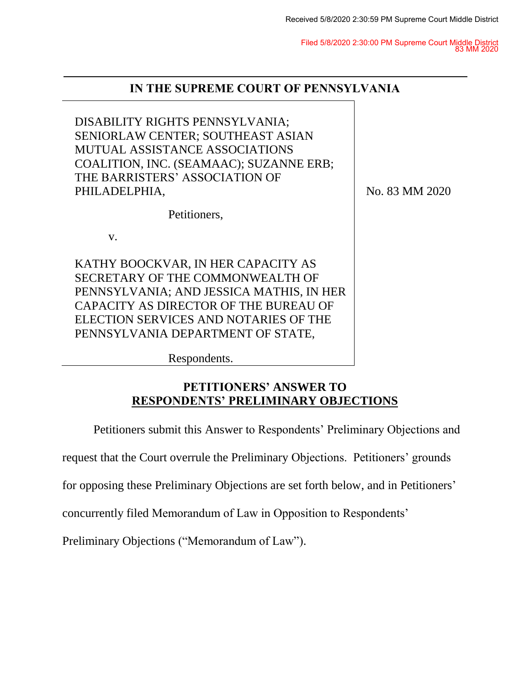Filed 5/8/2020 2:30:00 PM Supreme Court Middle District 83 MM 2020

| IN THE SUPREME COURT OF PENNSYLVANIA                                                                                                                                                                                                      |                |
|-------------------------------------------------------------------------------------------------------------------------------------------------------------------------------------------------------------------------------------------|----------------|
| DISABILITY RIGHTS PENNSYLVANIA;<br>SENIORLAW CENTER; SOUTHEAST ASIAN<br><b>MUTUAL ASSISTANCE ASSOCIATIONS</b><br>COALITION, INC. (SEAMAAC); SUZANNE ERB;<br>THE BARRISTERS' ASSOCIATION OF<br>PHILADELPHIA,                               | No. 83 MM 2020 |
| Petitioners.                                                                                                                                                                                                                              |                |
| $V_{\cdot}$                                                                                                                                                                                                                               |                |
| KATHY BOOCKVAR, IN HER CAPACITY AS<br>SECRETARY OF THE COMMONWEALTH OF<br>PENNSYLVANIA; AND JESSICA MATHIS, IN HER<br>CAPACITY AS DIRECTOR OF THE BUREAU OF<br>ELECTION SERVICES AND NOTARIES OF THE<br>PENNSYLVANIA DEPARTMENT OF STATE, |                |

Respondents.

# **PETITIONERS' ANSWER TO RESPONDENTS' PRELIMINARY OBJECTIONS**

Petitioners submit this Answer to Respondents' Preliminary Objections and

request that the Court overrule the Preliminary Objections. Petitioners' grounds

for opposing these Preliminary Objections are set forth below, and in Petitioners'

concurrently filed Memorandum of Law in Opposition to Respondents'

Preliminary Objections ("Memorandum of Law").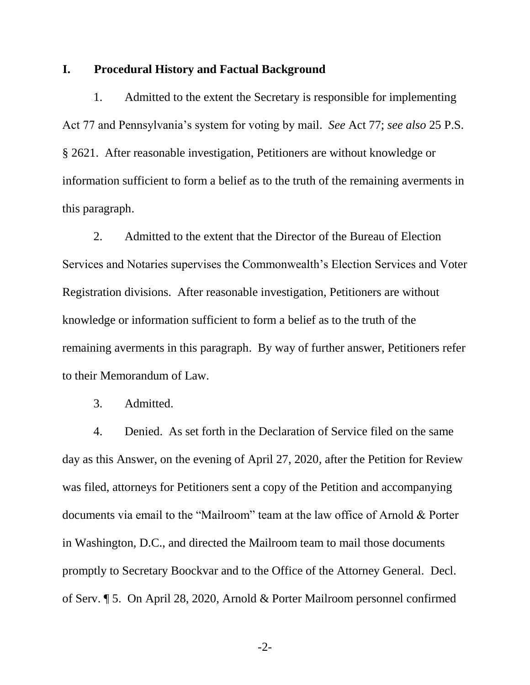### **I. Procedural History and Factual Background**

1. Admitted to the extent the Secretary is responsible for implementing Act 77 and Pennsylvania's system for voting by mail. *See* Act 77; *see also* 25 P.S. § 2621. After reasonable investigation, Petitioners are without knowledge or information sufficient to form a belief as to the truth of the remaining averments in this paragraph.

2. Admitted to the extent that the Director of the Bureau of Election Services and Notaries supervises the Commonwealth's Election Services and Voter Registration divisions. After reasonable investigation, Petitioners are without knowledge or information sufficient to form a belief as to the truth of the remaining averments in this paragraph. By way of further answer, Petitioners refer to their Memorandum of Law.

3. Admitted.

4. Denied. As set forth in the Declaration of Service filed on the same day as this Answer, on the evening of April 27, 2020, after the Petition for Review was filed, attorneys for Petitioners sent a copy of the Petition and accompanying documents via email to the "Mailroom" team at the law office of Arnold & Porter in Washington, D.C., and directed the Mailroom team to mail those documents promptly to Secretary Boockvar and to the Office of the Attorney General. Decl. of Serv. ¶ 5. On April 28, 2020, Arnold & Porter Mailroom personnel confirmed

-2-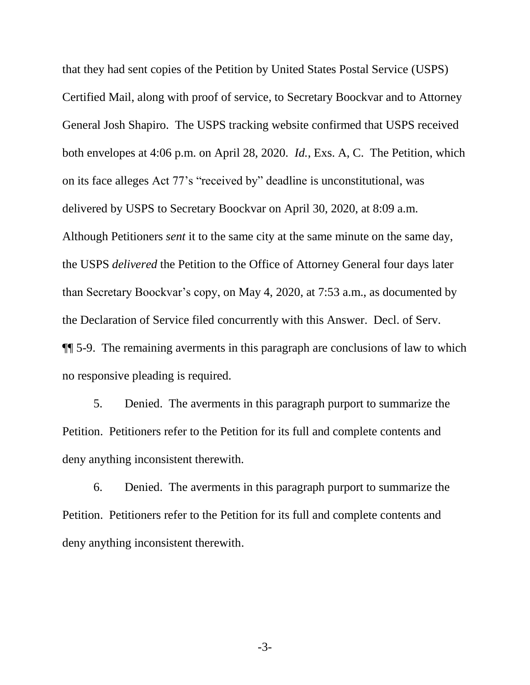that they had sent copies of the Petition by United States Postal Service (USPS) Certified Mail, along with proof of service, to Secretary Boockvar and to Attorney General Josh Shapiro. The USPS tracking website confirmed that USPS received both envelopes at 4:06 p.m. on April 28, 2020. *Id.*, Exs. A, C. The Petition, which on its face alleges Act 77's "received by" deadline is unconstitutional, was delivered by USPS to Secretary Boockvar on April 30, 2020, at 8:09 a.m. Although Petitioners *sent* it to the same city at the same minute on the same day, the USPS *delivered* the Petition to the Office of Attorney General four days later than Secretary Boockvar's copy, on May 4, 2020, at 7:53 a.m., as documented by the Declaration of Service filed concurrently with this Answer. Decl. of Serv. ¶¶ 5-9. The remaining averments in this paragraph are conclusions of law to which no responsive pleading is required.

5. Denied. The averments in this paragraph purport to summarize the Petition. Petitioners refer to the Petition for its full and complete contents and deny anything inconsistent therewith.

6. Denied. The averments in this paragraph purport to summarize the Petition. Petitioners refer to the Petition for its full and complete contents and deny anything inconsistent therewith.

-3-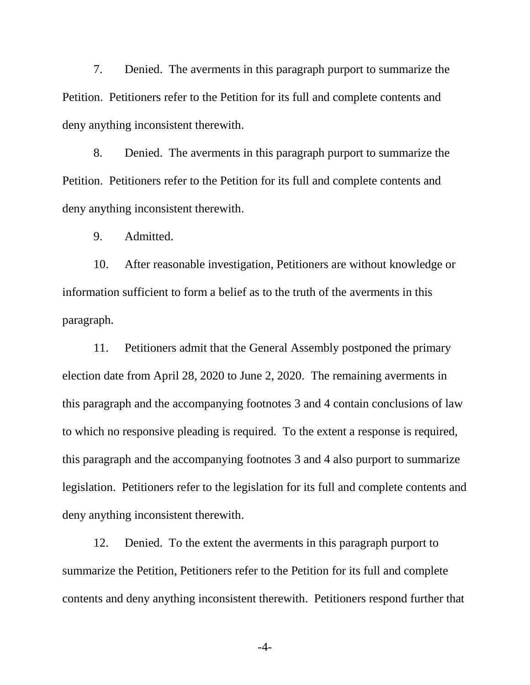7. Denied. The averments in this paragraph purport to summarize the Petition. Petitioners refer to the Petition for its full and complete contents and deny anything inconsistent therewith.

8. Denied. The averments in this paragraph purport to summarize the Petition. Petitioners refer to the Petition for its full and complete contents and deny anything inconsistent therewith.

9. Admitted.

10. After reasonable investigation, Petitioners are without knowledge or information sufficient to form a belief as to the truth of the averments in this paragraph.

11. Petitioners admit that the General Assembly postponed the primary election date from April 28, 2020 to June 2, 2020. The remaining averments in this paragraph and the accompanying footnotes 3 and 4 contain conclusions of law to which no responsive pleading is required. To the extent a response is required, this paragraph and the accompanying footnotes 3 and 4 also purport to summarize legislation. Petitioners refer to the legislation for its full and complete contents and deny anything inconsistent therewith.

12. Denied. To the extent the averments in this paragraph purport to summarize the Petition, Petitioners refer to the Petition for its full and complete contents and deny anything inconsistent therewith. Petitioners respond further that

-4-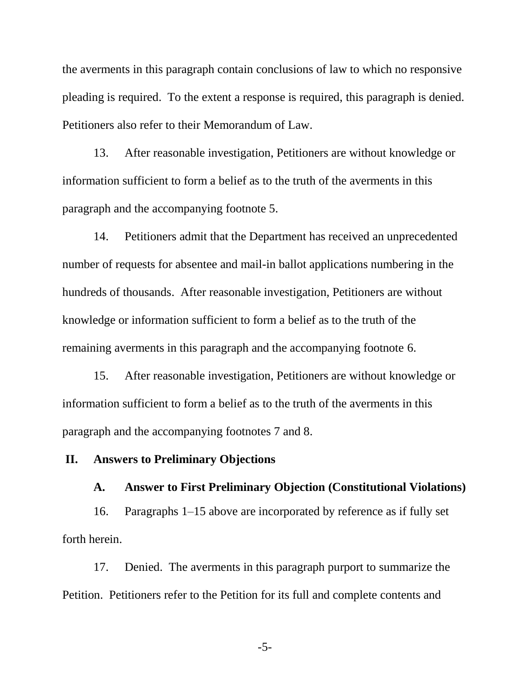the averments in this paragraph contain conclusions of law to which no responsive pleading is required. To the extent a response is required, this paragraph is denied. Petitioners also refer to their Memorandum of Law.

13. After reasonable investigation, Petitioners are without knowledge or information sufficient to form a belief as to the truth of the averments in this paragraph and the accompanying footnote 5.

14. Petitioners admit that the Department has received an unprecedented number of requests for absentee and mail-in ballot applications numbering in the hundreds of thousands. After reasonable investigation, Petitioners are without knowledge or information sufficient to form a belief as to the truth of the remaining averments in this paragraph and the accompanying footnote 6.

15. After reasonable investigation, Petitioners are without knowledge or information sufficient to form a belief as to the truth of the averments in this paragraph and the accompanying footnotes 7 and 8.

### **II. Answers to Preliminary Objections**

#### **A. Answer to First Preliminary Objection (Constitutional Violations)**

16. Paragraphs 1–15 above are incorporated by reference as if fully set forth herein.

17. Denied. The averments in this paragraph purport to summarize the Petition. Petitioners refer to the Petition for its full and complete contents and

-5-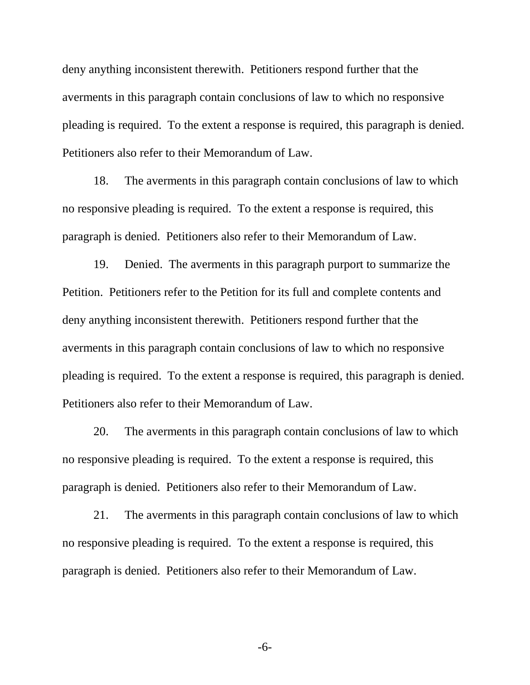deny anything inconsistent therewith. Petitioners respond further that the averments in this paragraph contain conclusions of law to which no responsive pleading is required. To the extent a response is required, this paragraph is denied. Petitioners also refer to their Memorandum of Law.

18. The averments in this paragraph contain conclusions of law to which no responsive pleading is required. To the extent a response is required, this paragraph is denied. Petitioners also refer to their Memorandum of Law.

19. Denied. The averments in this paragraph purport to summarize the Petition. Petitioners refer to the Petition for its full and complete contents and deny anything inconsistent therewith. Petitioners respond further that the averments in this paragraph contain conclusions of law to which no responsive pleading is required. To the extent a response is required, this paragraph is denied. Petitioners also refer to their Memorandum of Law.

20. The averments in this paragraph contain conclusions of law to which no responsive pleading is required. To the extent a response is required, this paragraph is denied. Petitioners also refer to their Memorandum of Law.

21. The averments in this paragraph contain conclusions of law to which no responsive pleading is required. To the extent a response is required, this paragraph is denied. Petitioners also refer to their Memorandum of Law.

-6-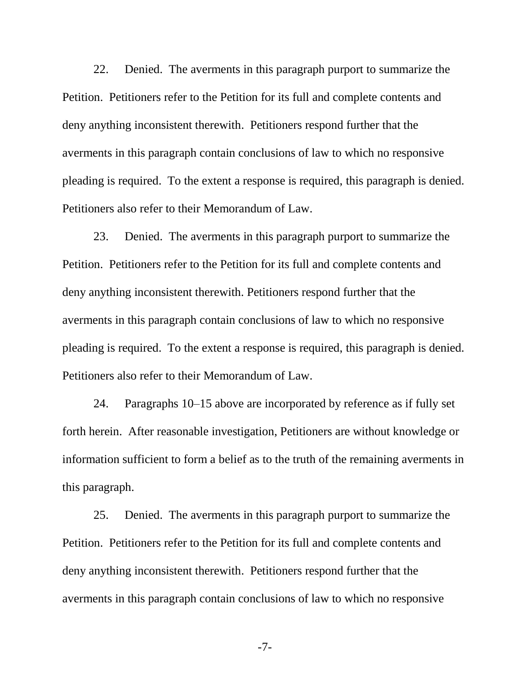22. Denied. The averments in this paragraph purport to summarize the Petition. Petitioners refer to the Petition for its full and complete contents and deny anything inconsistent therewith. Petitioners respond further that the averments in this paragraph contain conclusions of law to which no responsive pleading is required. To the extent a response is required, this paragraph is denied. Petitioners also refer to their Memorandum of Law.

23. Denied. The averments in this paragraph purport to summarize the Petition. Petitioners refer to the Petition for its full and complete contents and deny anything inconsistent therewith. Petitioners respond further that the averments in this paragraph contain conclusions of law to which no responsive pleading is required. To the extent a response is required, this paragraph is denied. Petitioners also refer to their Memorandum of Law.

24. Paragraphs 10–15 above are incorporated by reference as if fully set forth herein. After reasonable investigation, Petitioners are without knowledge or information sufficient to form a belief as to the truth of the remaining averments in this paragraph.

25. Denied. The averments in this paragraph purport to summarize the Petition. Petitioners refer to the Petition for its full and complete contents and deny anything inconsistent therewith. Petitioners respond further that the averments in this paragraph contain conclusions of law to which no responsive

-7-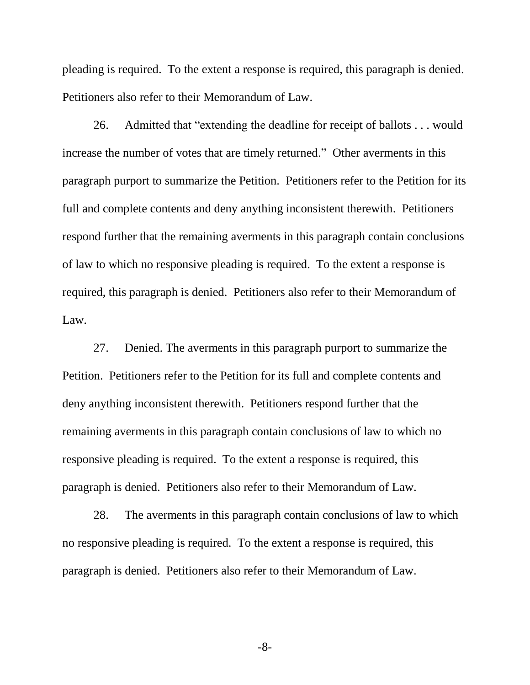pleading is required. To the extent a response is required, this paragraph is denied. Petitioners also refer to their Memorandum of Law.

26. Admitted that "extending the deadline for receipt of ballots . . . would increase the number of votes that are timely returned." Other averments in this paragraph purport to summarize the Petition. Petitioners refer to the Petition for its full and complete contents and deny anything inconsistent therewith. Petitioners respond further that the remaining averments in this paragraph contain conclusions of law to which no responsive pleading is required. To the extent a response is required, this paragraph is denied. Petitioners also refer to their Memorandum of Law.

27. Denied. The averments in this paragraph purport to summarize the Petition. Petitioners refer to the Petition for its full and complete contents and deny anything inconsistent therewith. Petitioners respond further that the remaining averments in this paragraph contain conclusions of law to which no responsive pleading is required. To the extent a response is required, this paragraph is denied. Petitioners also refer to their Memorandum of Law.

28. The averments in this paragraph contain conclusions of law to which no responsive pleading is required. To the extent a response is required, this paragraph is denied. Petitioners also refer to their Memorandum of Law.

-8-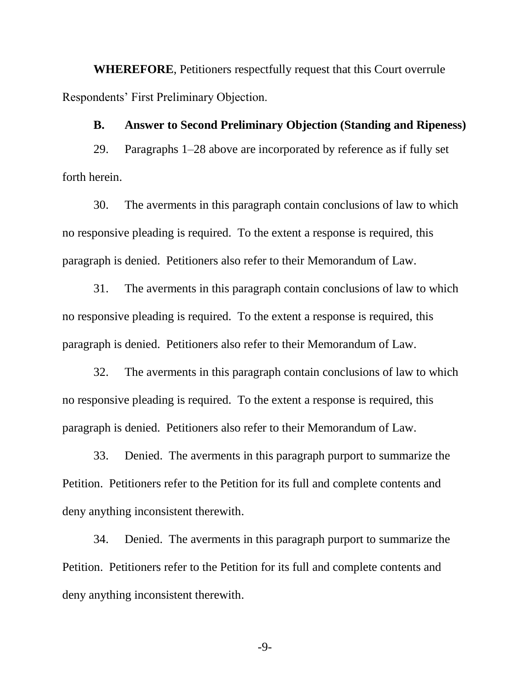**WHEREFORE**, Petitioners respectfully request that this Court overrule Respondents' First Preliminary Objection.

#### **B. Answer to Second Preliminary Objection (Standing and Ripeness)**

29. Paragraphs 1–28 above are incorporated by reference as if fully set forth herein.

30. The averments in this paragraph contain conclusions of law to which no responsive pleading is required. To the extent a response is required, this paragraph is denied. Petitioners also refer to their Memorandum of Law.

31. The averments in this paragraph contain conclusions of law to which no responsive pleading is required. To the extent a response is required, this paragraph is denied. Petitioners also refer to their Memorandum of Law.

32. The averments in this paragraph contain conclusions of law to which no responsive pleading is required. To the extent a response is required, this paragraph is denied. Petitioners also refer to their Memorandum of Law.

33. Denied. The averments in this paragraph purport to summarize the Petition. Petitioners refer to the Petition for its full and complete contents and deny anything inconsistent therewith.

34. Denied. The averments in this paragraph purport to summarize the Petition. Petitioners refer to the Petition for its full and complete contents and deny anything inconsistent therewith.

-9-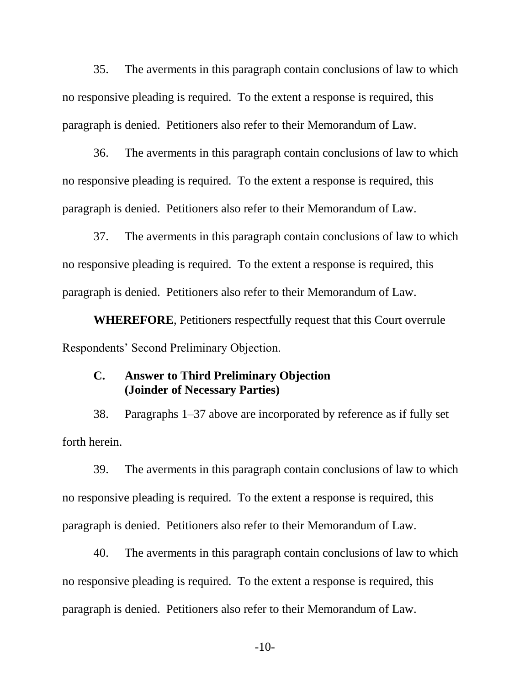35. The averments in this paragraph contain conclusions of law to which no responsive pleading is required. To the extent a response is required, this paragraph is denied. Petitioners also refer to their Memorandum of Law.

36. The averments in this paragraph contain conclusions of law to which no responsive pleading is required. To the extent a response is required, this paragraph is denied. Petitioners also refer to their Memorandum of Law.

37. The averments in this paragraph contain conclusions of law to which no responsive pleading is required. To the extent a response is required, this paragraph is denied. Petitioners also refer to their Memorandum of Law.

**WHEREFORE**, Petitioners respectfully request that this Court overrule Respondents' Second Preliminary Objection.

## **C. Answer to Third Preliminary Objection (Joinder of Necessary Parties)**

38. Paragraphs 1–37 above are incorporated by reference as if fully set forth herein.

39. The averments in this paragraph contain conclusions of law to which no responsive pleading is required. To the extent a response is required, this paragraph is denied. Petitioners also refer to their Memorandum of Law.

40. The averments in this paragraph contain conclusions of law to which no responsive pleading is required. To the extent a response is required, this paragraph is denied. Petitioners also refer to their Memorandum of Law.

-10-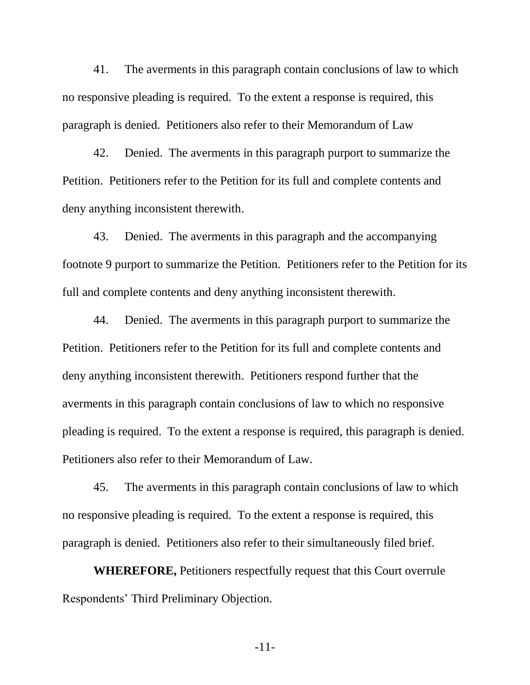41. The averments in this paragraph contain conclusions of law to which no responsive pleading is required. To the extent a response is required, this paragraph is denied. Petitioners also refer to their Memorandum of Law

42. Denied. The averments in this paragraph purport to summarize the Petition. Petitioners refer to the Petition for its full and complete contents and deny anything inconsistent therewith.

43. Denied. The averments in this paragraph and the accompanying footnote 9 purport to summarize the Petition. Petitioners refer to the Petition for its full and complete contents and deny anything inconsistent therewith.

44. Denied. The averments in this paragraph purport to summarize the Petition. Petitioners refer to the Petition for its full and complete contents and deny anything inconsistent therewith. Petitioners respond further that the averments in this paragraph contain conclusions of law to which no responsive pleading is required. To the extent a response is required, this paragraph is denied. Petitioners also refer to their Memorandum of Law.

45. The averments in this paragraph contain conclusions of law to which no responsive pleading is required. To the extent a response is required, this paragraph is denied. Petitioners also refer to their simultaneously filed brief.

**WHEREFORE,** Petitioners respectfully request that this Court overrule Respondents' Third Preliminary Objection.

-11-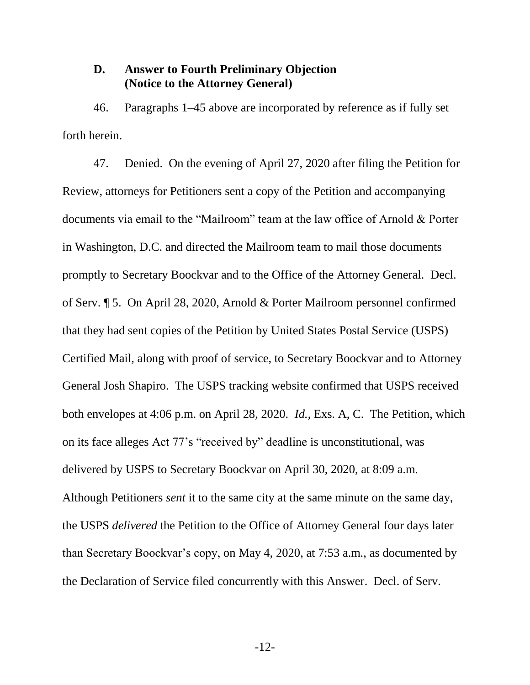### **D. Answer to Fourth Preliminary Objection (Notice to the Attorney General)**

46. Paragraphs 1–45 above are incorporated by reference as if fully set forth herein.

47. Denied. On the evening of April 27, 2020 after filing the Petition for Review, attorneys for Petitioners sent a copy of the Petition and accompanying documents via email to the "Mailroom" team at the law office of Arnold & Porter in Washington, D.C. and directed the Mailroom team to mail those documents promptly to Secretary Boockvar and to the Office of the Attorney General. Decl. of Serv. ¶ 5. On April 28, 2020, Arnold & Porter Mailroom personnel confirmed that they had sent copies of the Petition by United States Postal Service (USPS) Certified Mail, along with proof of service, to Secretary Boockvar and to Attorney General Josh Shapiro. The USPS tracking website confirmed that USPS received both envelopes at 4:06 p.m. on April 28, 2020. *Id.*, Exs. A, C. The Petition, which on its face alleges Act 77's "received by" deadline is unconstitutional, was delivered by USPS to Secretary Boockvar on April 30, 2020, at 8:09 a.m. Although Petitioners *sent* it to the same city at the same minute on the same day, the USPS *delivered* the Petition to the Office of Attorney General four days later than Secretary Boockvar's copy, on May 4, 2020, at 7:53 a.m., as documented by the Declaration of Service filed concurrently with this Answer. Decl. of Serv.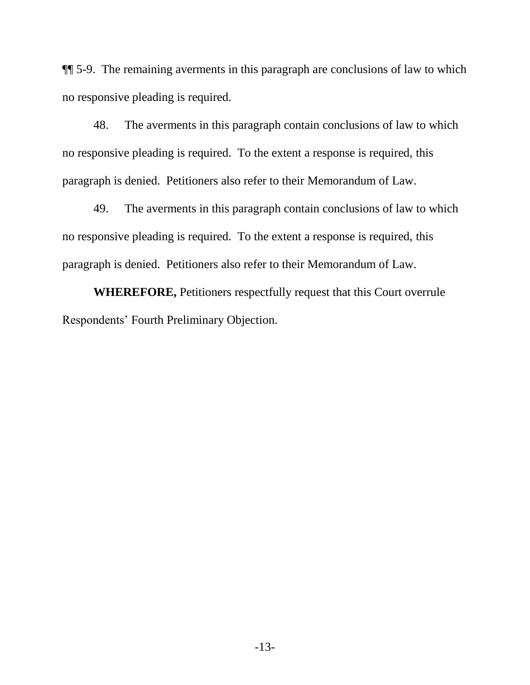¶¶ 5-9. The remaining averments in this paragraph are conclusions of law to which no responsive pleading is required.

48. The averments in this paragraph contain conclusions of law to which no responsive pleading is required. To the extent a response is required, this paragraph is denied. Petitioners also refer to their Memorandum of Law.

49. The averments in this paragraph contain conclusions of law to which no responsive pleading is required. To the extent a response is required, this paragraph is denied. Petitioners also refer to their Memorandum of Law.

**WHEREFORE,** Petitioners respectfully request that this Court overrule Respondents' Fourth Preliminary Objection.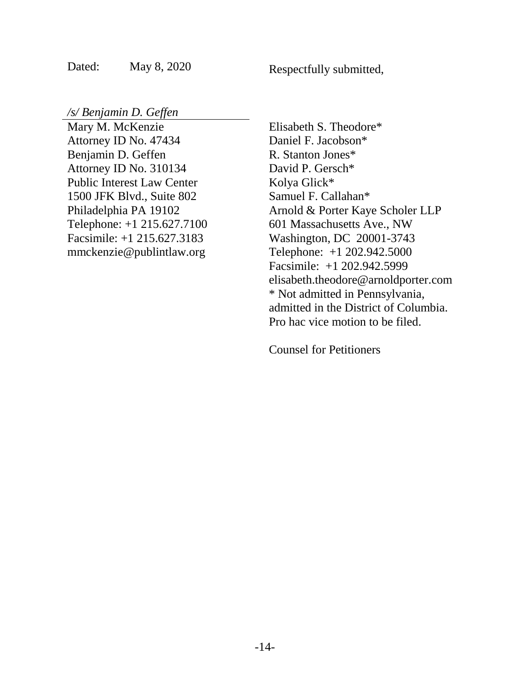Dated: May 8, 2020

Respectfully submitted,

*/s/ Benjamin D. Geffen*

Mary M. McKenzie Attorney ID No. 47434 Benjamin D. Geffen Attorney ID No. 310134 Public Interest Law Center 1500 JFK Blvd., Suite 802 Philadelphia PA 19102 Telephone: +1 215.627.7100 Facsimile: +1 215.627.3183 mmckenzie@publintlaw.org

Elisabeth S. Theodore\* Daniel F. Jacobson\* R. Stanton Jones\* David P. Gersch\* Kolya Glick\* Samuel F. Callahan\* Arnold & Porter Kaye Scholer LLP 601 Massachusetts Ave., NW Washington, DC 20001-3743 Telephone: +1 202.942.5000 Facsimile: +1 202.942.5999 elisabeth.theodore@arnoldporter.com \* Not admitted in Pennsylvania, admitted in the District of Columbia. Pro hac vice motion to be filed.

Counsel for Petitioners